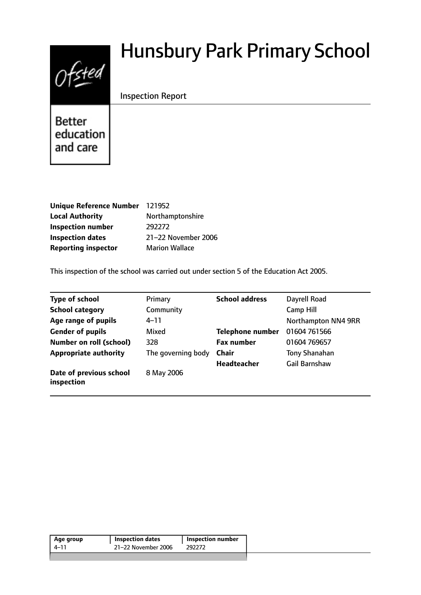# $0$ fsted

# Hunsbury Park Primary School

#### Inspection Report

**Better** education and care

| Unique Reference Number 121952 |                       |
|--------------------------------|-----------------------|
| <b>Local Authority</b>         | Northamptonshire      |
| <b>Inspection number</b>       | 292272                |
| <b>Inspection dates</b>        | 21-22 November 2006   |
| <b>Reporting inspector</b>     | <b>Marion Wallace</b> |

This inspection of the school was carried out under section 5 of the Education Act 2005.

| <b>Type of school</b>                 | Primary            | <b>School address</b>   | Dayrell Road         |
|---------------------------------------|--------------------|-------------------------|----------------------|
| <b>School category</b>                | Community          |                         | <b>Camp Hill</b>     |
| Age range of pupils                   | $4 - 11$           |                         | Northampton NN4 9RR  |
| <b>Gender of pupils</b>               | Mixed              | <b>Telephone number</b> | 01604 761566         |
| <b>Number on roll (school)</b>        | 328                | <b>Fax number</b>       | 01604 769657         |
| <b>Appropriate authority</b>          | The governing body | <b>Chair</b>            | Tony Shanahan        |
|                                       |                    | <b>Headteacher</b>      | <b>Gail Barnshaw</b> |
| Date of previous school<br>inspection | 8 May 2006         |                         |                      |

| Age group | <b>Inspection dates</b> | <b>Inspection number</b> |
|-----------|-------------------------|--------------------------|
| 4–11      | 21-22 November 2006     | 292272                   |
|           |                         |                          |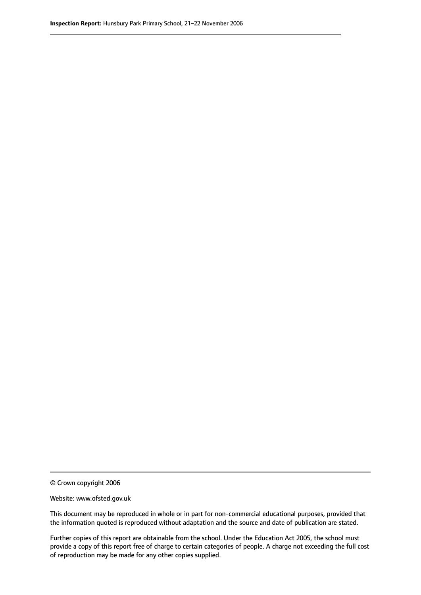© Crown copyright 2006

Website: www.ofsted.gov.uk

This document may be reproduced in whole or in part for non-commercial educational purposes, provided that the information quoted is reproduced without adaptation and the source and date of publication are stated.

Further copies of this report are obtainable from the school. Under the Education Act 2005, the school must provide a copy of this report free of charge to certain categories of people. A charge not exceeding the full cost of reproduction may be made for any other copies supplied.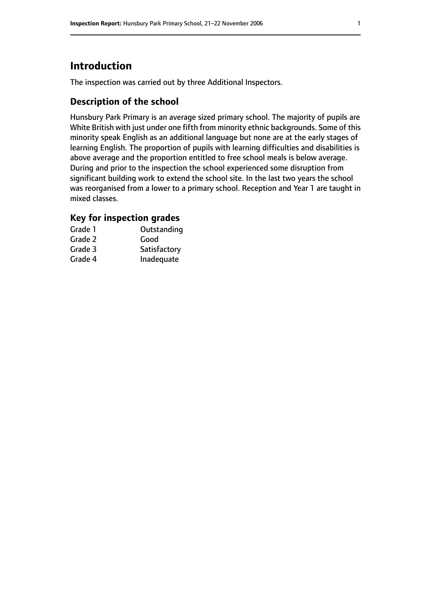# **Introduction**

The inspection was carried out by three Additional Inspectors.

#### **Description of the school**

Hunsbury Park Primary is an average sized primary school. The majority of pupils are White British with just under one fifth from minority ethnic backgrounds. Some of this minority speak English as an additional language but none are at the early stages of learning English. The proportion of pupils with learning difficulties and disabilities is above average and the proportion entitled to free school meals is below average. During and prior to the inspection the school experienced some disruption from significant building work to extend the school site. In the last two years the school was reorganised from a lower to a primary school. Reception and Year 1 are taught in mixed classes.

#### **Key for inspection grades**

| Grade 1 | Outstanding  |
|---------|--------------|
| Grade 2 | Good         |
| Grade 3 | Satisfactory |
| Grade 4 | Inadequate   |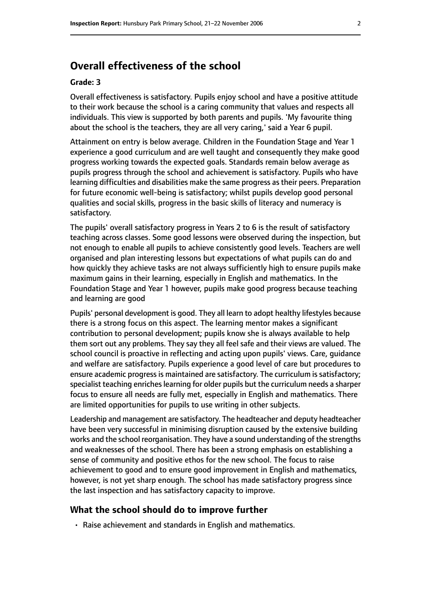### **Overall effectiveness of the school**

#### **Grade: 3**

Overall effectiveness is satisfactory. Pupils enjoy school and have a positive attitude to their work because the school is a caring community that values and respects all individuals. This view is supported by both parents and pupils. 'My favourite thing about the school is the teachers, they are all very caring,' said a Year 6 pupil.

Attainment on entry is below average. Children in the Foundation Stage and Year 1 experience a good curriculum and are well taught and consequently they make good progress working towards the expected goals. Standards remain below average as pupils progress through the school and achievement is satisfactory. Pupils who have learning difficulties and disabilities make the same progress as their peers. Preparation for future economic well-being is satisfactory; whilst pupils develop good personal qualities and social skills, progress in the basic skills of literacy and numeracy is satisfactory.

The pupils' overall satisfactory progress in Years 2 to 6 is the result of satisfactory teaching across classes. Some good lessons were observed during the inspection, but not enough to enable all pupils to achieve consistently good levels. Teachers are well organised and plan interesting lessons but expectations of what pupils can do and how quickly they achieve tasks are not always sufficiently high to ensure pupils make maximum gains in their learning, especially in English and mathematics. In the Foundation Stage and Year 1 however, pupils make good progress because teaching and learning are good

Pupils' personal development is good. They all learn to adopt healthy lifestyles because there is a strong focus on this aspect. The learning mentor makes a significant contribution to personal development; pupils know she is always available to help them sort out any problems. They say they all feel safe and their views are valued. The school council is proactive in reflecting and acting upon pupils' views. Care, guidance and welfare are satisfactory. Pupils experience a good level of care but procedures to ensure academic progress is maintained are satisfactory. The curriculum is satisfactory; specialist teaching enriches learning for older pupils but the curriculum needs a sharper focus to ensure all needs are fully met, especially in English and mathematics. There are limited opportunities for pupils to use writing in other subjects.

Leadership and management are satisfactory. The headteacher and deputy headteacher have been very successful in minimising disruption caused by the extensive building works and the school reorganisation. They have a sound understanding of the strengths and weaknesses of the school. There has been a strong emphasis on establishing a sense of community and positive ethos for the new school. The focus to raise achievement to good and to ensure good improvement in English and mathematics, however, is not yet sharp enough. The school has made satisfactory progress since the last inspection and has satisfactory capacity to improve.

#### **What the school should do to improve further**

• Raise achievement and standards in English and mathematics.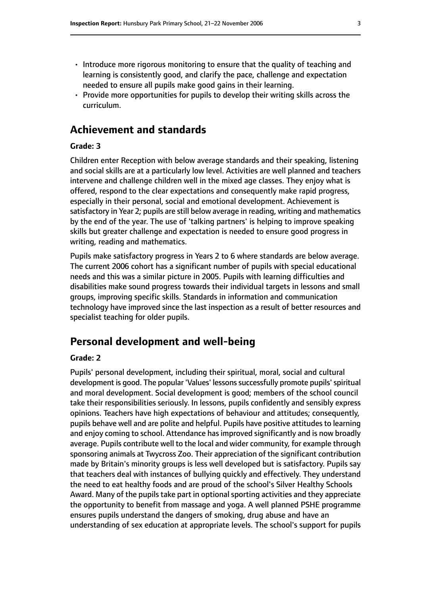- Introduce more rigorous monitoring to ensure that the quality of teaching and learning is consistently good, and clarify the pace, challenge and expectation needed to ensure all pupils make good gains in their learning.
- Provide more opportunities for pupils to develop their writing skills across the curriculum.

#### **Achievement and standards**

#### **Grade: 3**

Children enter Reception with below average standards and their speaking, listening and social skills are at a particularly low level. Activities are well planned and teachers intervene and challenge children well in the mixed age classes. They enjoy what is offered, respond to the clear expectations and consequently make rapid progress, especially in their personal, social and emotional development. Achievement is satisfactory in Year 2; pupils are still below average in reading, writing and mathematics by the end of the year. The use of 'talking partners' is helping to improve speaking skills but greater challenge and expectation is needed to ensure good progress in writing, reading and mathematics.

Pupils make satisfactory progress in Years 2 to 6 where standards are below average. The current 2006 cohort has a significant number of pupils with special educational needs and this was a similar picture in 2005. Pupils with learning difficulties and disabilities make sound progress towards their individual targets in lessons and small groups, improving specific skills. Standards in information and communication technology have improved since the last inspection as a result of better resources and specialist teaching for older pupils.

#### **Personal development and well-being**

#### **Grade: 2**

Pupils' personal development, including their spiritual, moral, social and cultural development is good. The popular 'Values' lessons successfully promote pupils' spiritual and moral development. Social development is good; members of the school council take their responsibilities seriously. In lessons, pupils confidently and sensibly express opinions. Teachers have high expectations of behaviour and attitudes; consequently, pupils behave well and are polite and helpful. Pupils have positive attitudes to learning and enjoy coming to school. Attendance has improved significantly and is now broadly average. Pupils contribute well to the local and wider community, for example through sponsoring animals at Twycross Zoo. Their appreciation of the significant contribution made by Britain's minority groups is less well developed but is satisfactory. Pupils say that teachers deal with instances of bullying quickly and effectively. They understand the need to eat healthy foods and are proud of the school's Silver Healthy Schools Award. Many of the pupils take part in optional sporting activities and they appreciate the opportunity to benefit from massage and yoga. A well planned PSHE programme ensures pupils understand the dangers of smoking, drug abuse and have an understanding of sex education at appropriate levels. The school's support for pupils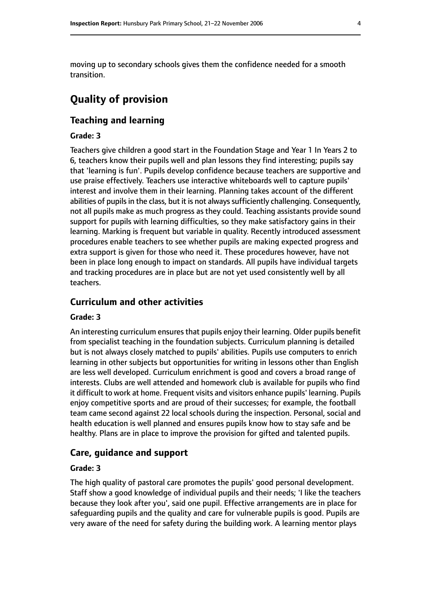moving up to secondary schools gives them the confidence needed for a smooth transition.

## **Quality of provision**

#### **Teaching and learning**

#### **Grade: 3**

Teachers give children a good start in the Foundation Stage and Year 1 In Years 2 to 6, teachers know their pupils well and plan lessons they find interesting; pupils say that 'learning is fun'. Pupils develop confidence because teachers are supportive and use praise effectively. Teachers use interactive whiteboards well to capture pupils' interest and involve them in their learning. Planning takes account of the different abilities of pupils in the class, but it is not always sufficiently challenging. Consequently, not all pupils make as much progress as they could. Teaching assistants provide sound support for pupils with learning difficulties, so they make satisfactory gains in their learning. Marking is frequent but variable in quality. Recently introduced assessment procedures enable teachers to see whether pupils are making expected progress and extra support is given for those who need it. These procedures however, have not been in place long enough to impact on standards. All pupils have individual targets and tracking procedures are in place but are not yet used consistently well by all teachers.

#### **Curriculum and other activities**

#### **Grade: 3**

An interesting curriculum ensures that pupils enjoy their learning. Older pupils benefit from specialist teaching in the foundation subjects. Curriculum planning is detailed but is not always closely matched to pupils' abilities. Pupils use computers to enrich learning in other subjects but opportunities for writing in lessons other than English are less well developed. Curriculum enrichment is good and covers a broad range of interests. Clubs are well attended and homework club is available for pupils who find it difficult to work at home. Frequent visits and visitors enhance pupils' learning. Pupils enjoy competitive sports and are proud of their successes; for example, the football team came second against 22 local schools during the inspection. Personal, social and health education is well planned and ensures pupils know how to stay safe and be healthy. Plans are in place to improve the provision for gifted and talented pupils.

#### **Care, guidance and support**

#### **Grade: 3**

The high quality of pastoral care promotes the pupils' good personal development. Staff show a good knowledge of individual pupils and their needs; 'I like the teachers because they look after you', said one pupil. Effective arrangements are in place for safeguarding pupils and the quality and care for vulnerable pupils is good. Pupils are very aware of the need for safety during the building work. A learning mentor plays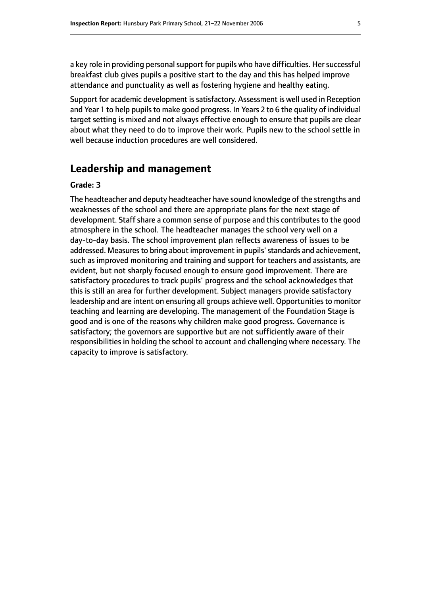a key role in providing personal support for pupils who have difficulties. Her successful breakfast club gives pupils a positive start to the day and this has helped improve attendance and punctuality as well as fostering hygiene and healthy eating.

Support for academic development is satisfactory. Assessment is well used in Reception and Year 1 to help pupils to make good progress. In Years 2 to 6 the quality of individual target setting is mixed and not always effective enough to ensure that pupils are clear about what they need to do to improve their work. Pupils new to the school settle in well because induction procedures are well considered.

#### **Leadership and management**

#### **Grade: 3**

The headteacher and deputy headteacher have sound knowledge of the strengths and weaknesses of the school and there are appropriate plans for the next stage of development. Staff share a common sense of purpose and this contributes to the good atmosphere in the school. The headteacher manages the school very well on a day-to-day basis. The school improvement plan reflects awareness of issues to be addressed. Measures to bring about improvement in pupils' standards and achievement, such as improved monitoring and training and support for teachers and assistants, are evident, but not sharply focused enough to ensure good improvement. There are satisfactory procedures to track pupils' progress and the school acknowledges that this is still an area for further development. Subject managers provide satisfactory leadership and are intent on ensuring all groups achieve well. Opportunities to monitor teaching and learning are developing. The management of the Foundation Stage is good and is one of the reasons why children make good progress. Governance is satisfactory; the governors are supportive but are not sufficiently aware of their responsibilities in holding the school to account and challenging where necessary. The capacity to improve is satisfactory.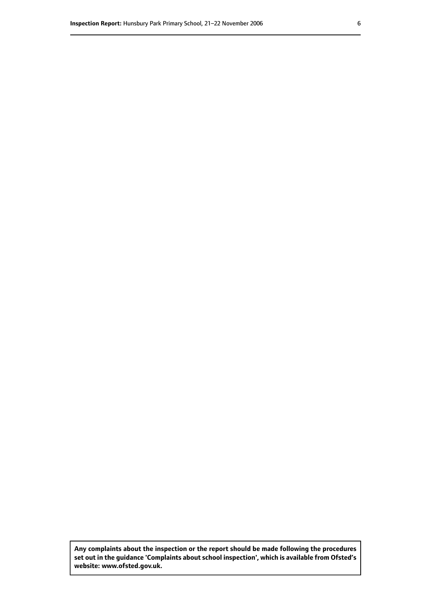**Any complaints about the inspection or the report should be made following the procedures set out inthe guidance 'Complaints about school inspection', whichis available from Ofsted's website: www.ofsted.gov.uk.**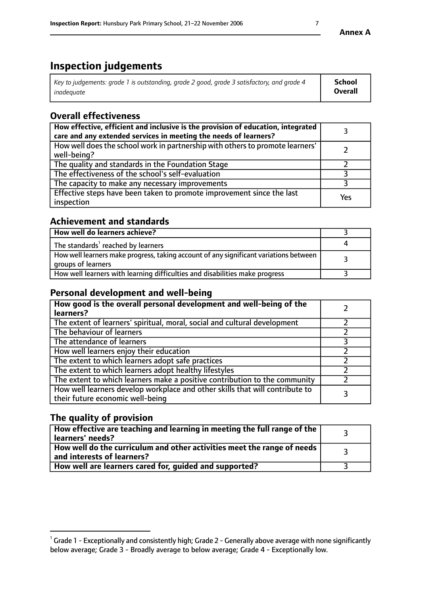# **Inspection judgements**

| Key to judgements: grade 1 is outstanding, grade 2 good, grade 3 satisfactory, and grade 4 | School         |
|--------------------------------------------------------------------------------------------|----------------|
| inadeauate                                                                                 | <b>Overall</b> |

# **Overall effectiveness**

| How effective, efficient and inclusive is the provision of education, integrated<br>care and any extended services in meeting the needs of learners? |     |
|------------------------------------------------------------------------------------------------------------------------------------------------------|-----|
| How well does the school work in partnership with others to promote learners'<br>well-being?                                                         |     |
| The quality and standards in the Foundation Stage                                                                                                    |     |
| The effectiveness of the school's self-evaluation                                                                                                    |     |
| The capacity to make any necessary improvements                                                                                                      |     |
| Effective steps have been taken to promote improvement since the last<br>inspection                                                                  | Yes |

#### **Achievement and standards**

| How well do learners achieve?                                                                               |  |
|-------------------------------------------------------------------------------------------------------------|--|
| The standards <sup>1</sup> reached by learners                                                              |  |
| How well learners make progress, taking account of any significant variations between<br>groups of learners |  |
| How well learners with learning difficulties and disabilities make progress                                 |  |

#### **Personal development and well-being**

| How good is the overall personal development and well-being of the<br>learners?                                  |  |
|------------------------------------------------------------------------------------------------------------------|--|
| The extent of learners' spiritual, moral, social and cultural development                                        |  |
| The behaviour of learners                                                                                        |  |
| The attendance of learners                                                                                       |  |
| How well learners enjoy their education                                                                          |  |
| The extent to which learners adopt safe practices                                                                |  |
| The extent to which learners adopt healthy lifestyles                                                            |  |
| The extent to which learners make a positive contribution to the community                                       |  |
| How well learners develop workplace and other skills that will contribute to<br>their future economic well-being |  |

#### **The quality of provision**

| $\Box$ How effective are teaching and learning in meeting the full range of the $\Box$<br>  learners' needs?        |  |
|---------------------------------------------------------------------------------------------------------------------|--|
| $\mid$ How well do the curriculum and other activities meet the range of needs<br>$\mid$ and interests of learners? |  |
| How well are learners cared for, guided and supported?                                                              |  |

 $^1$  Grade 1 - Exceptionally and consistently high; Grade 2 - Generally above average with none significantly below average; Grade 3 - Broadly average to below average; Grade 4 - Exceptionally low.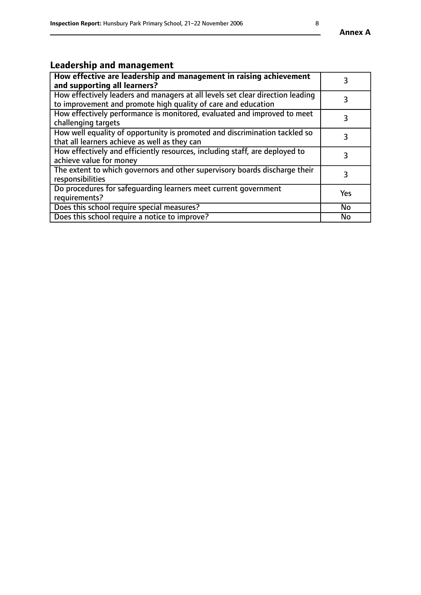# **Leadership and management**

| How effective are leadership and management in raising achievement<br>and supporting all learners?                                              |           |
|-------------------------------------------------------------------------------------------------------------------------------------------------|-----------|
| How effectively leaders and managers at all levels set clear direction leading<br>to improvement and promote high quality of care and education |           |
| How effectively performance is monitored, evaluated and improved to meet<br>challenging targets                                                 | 3         |
| How well equality of opportunity is promoted and discrimination tackled so<br>that all learners achieve as well as they can                     |           |
| How effectively and efficiently resources, including staff, are deployed to<br>achieve value for money                                          | 3         |
| The extent to which governors and other supervisory boards discharge their<br>responsibilities                                                  | 3         |
| Do procedures for safequarding learners meet current government<br>requirements?                                                                | Yes       |
| Does this school require special measures?                                                                                                      | No        |
| Does this school require a notice to improve?                                                                                                   | <b>No</b> |